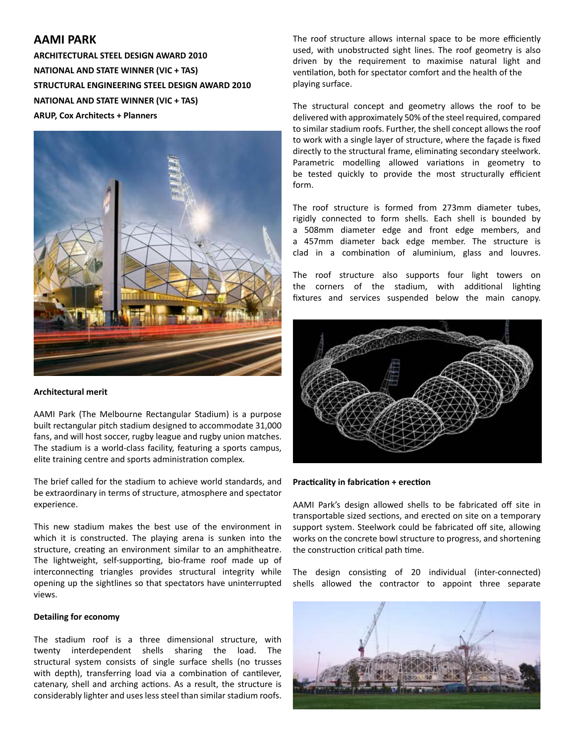# **AAMI PARK**

**ARCHITECTURAL STEEL DESIGN AWARD 2010 NATIONAL AND STATE WINNER (VIC + TAS) STRUCTURAL ENGINEERING STEEL DESIGN AWARD 2010 NATIONAL AND STATE WINNER (VIC + TAS) ARUP, Cox Architects + Planners**



### **Architectural merit**

AAMI Park (The Melbourne Rectangular Stadium) is a purpose built rectangular pitch stadium designed to accommodate 31,000 fans, and will host soccer, rugby league and rugby union matches. The stadium is a world-class facility, featuring a sports campus, elite training centre and sports administration complex.

The brief called for the stadium to achieve world standards, and be extraordinary in terms of structure, atmosphere and spectator experience.

This new stadium makes the best use of the environment in which it is constructed. The playing arena is sunken into the structure, creating an environment similar to an amphitheatre. The lightweight, self-supporting, bio-frame roof made up of interconnecting triangles provides structural integrity while opening up the sightlines so that spectators have uninterrupted views.

### **Detailing for economy**

The stadium roof is a three dimensional structure, with twenty interdependent shells sharing the load. The structural system consists of single surface shells (no trusses with depth), transferring load via a combination of cantilever, catenary, shell and arching actions. As a result, the structure is considerably lighter and uses less steel than similar stadium roofs.

The roof structure allows internal space to be more efficiently used, with unobstructed sight lines. The roof geometry is also driven by the requirement to maximise natural light and ventilation, both for spectator comfort and the health of the playing surface.

The structural concept and geometry allows the roof to be delivered with approximately 50% of the steel required, compared to similar stadium roofs. Further, the shell concept allows the roof to work with a single layer of structure, where the façade is fixed directly to the structural frame, eliminating secondary steelwork. Parametric modelling allowed variations in geometry to be tested quickly to provide the most structurally efficient form.

The roof structure is formed from 273mm diameter tubes, rigidly connected to form shells. Each shell is bounded by a 508mm diameter edge and front edge members, and a 457mm diameter back edge member. The structure is clad in a combination of aluminium, glass and louvres.

The roof structure also supports four light towers on the corners of the stadium, with additional lighting fixtures and services suspended below the main canopy.



## **Practicality in fabrication + erection**

AAMI Park's design allowed shells to be fabricated off site in transportable sized sections, and erected on site on a temporary support system. Steelwork could be fabricated off site, allowing works on the concrete bowl structure to progress, and shortening the construction critical path time.

The design consisting of 20 individual (inter-connected) shells allowed the contractor to appoint three separate

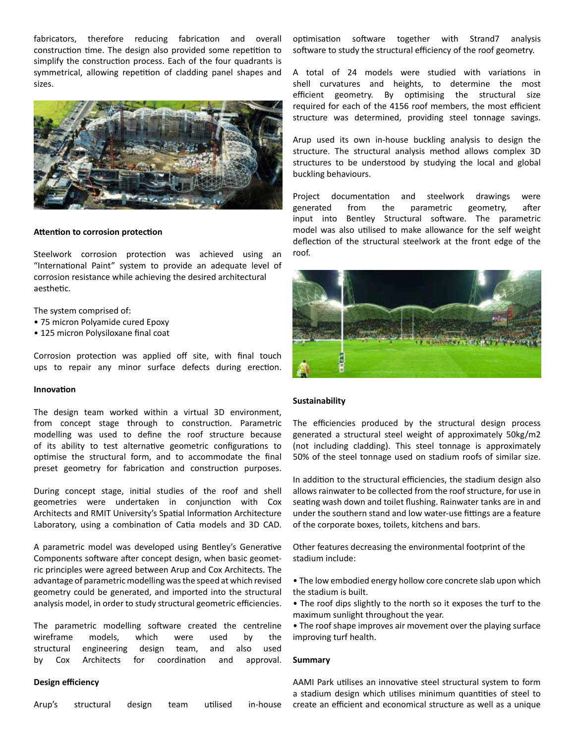fabricators, therefore reducing fabrication and overall construction time. The design also provided some repetition to simplify the construction process. Each of the four quadrants is symmetrical, allowing repetition of cladding panel shapes and sizes.



#### **Attention to corrosion protection**

Steelwork corrosion protection was achieved using an "International Paint" system to provide an adequate level of corrosion resistance while achieving the desired architectural aesthetic.

The system comprised of:

- 75 micron Polyamide cured Epoxy
- 125 micron Polysiloxane final coat

Corrosion protection was applied off site, with final touch ups to repair any minor surface defects during erection.

#### **Innovation**

The design team worked within a virtual 3D environment, from concept stage through to construction. Parametric modelling was used to define the roof structure because of its ability to test alternative geometric configurations to optimise the structural form, and to accommodate the final preset geometry for fabrication and construction purposes.

During concept stage, initial studies of the roof and shell geometries were undertaken in conjunction with Cox Architects and RMIT University's Spatial Information Architecture Laboratory, using a combination of Catia models and 3D CAD.

A parametric model was developed using Bentley's Generative Components software after concept design, when basic geometric principles were agreed between Arup and Cox Architects. The advantage of parametric modelling was the speed at which revised geometry could be generated, and imported into the structural analysis model, in order to study structural geometric efficiencies.

The parametric modelling software created the centreline wireframe models, which were used by the structural engineering design team, and also used by Cox Architects for coordination and approval.

#### **Design efficiency**

optimisation software together with Strand7 analysis software to study the structural efficiency of the roof geometry.

A total of 24 models were studied with variations in shell curvatures and heights, to determine the most efficient geometry. By optimising the structural size required for each of the 4156 roof members, the most efficient structure was determined, providing steel tonnage savings.

Arup used its own in-house buckling analysis to design the structure. The structural analysis method allows complex 3D structures to be understood by studying the local and global buckling behaviours.

Project documentation and steelwork drawings were generated from the parametric geometry, after input into Bentley Structural software. The parametric model was also utilised to make allowance for the self weight deflection of the structural steelwork at the front edge of the roof.



#### **Sustainability**

The efficiencies produced by the structural design process generated a structural steel weight of approximately 50kg/m2 (not including cladding). This steel tonnage is approximately 50% of the steel tonnage used on stadium roofs of similar size.

In addition to the structural efficiencies, the stadium design also allows rainwater to be collected from the roof structure, for use in seating wash down and toilet flushing. Rainwater tanks are in and under the southern stand and low water-use fittings are a feature of the corporate boxes, toilets, kitchens and bars.

Other features decreasing the environmental footprint of the stadium include:

- The low embodied energy hollow core concrete slab upon which the stadium is built.
- The roof dips slightly to the north so it exposes the turf to the maximum sunlight throughout the year.
- The roof shape improves air movement over the playing surface improving turf health.

#### **Summary**

AAMI Park utilises an innovative steel structural system to form a stadium design which utilises minimum quantities of steel to in-house create an efficient and economical structure as well as a unique

Arup's structural design team utilised